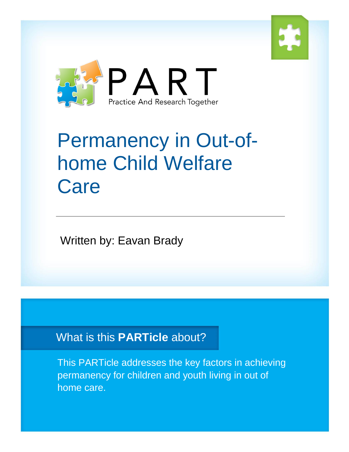



# Permanency in Out-ofhome Child Welfare **Care**

Written by: Eavan Brady

What is this **PARTicle** about?

This PARTicle addresses the key factors in achieving permanency for children and youth living in out of home care.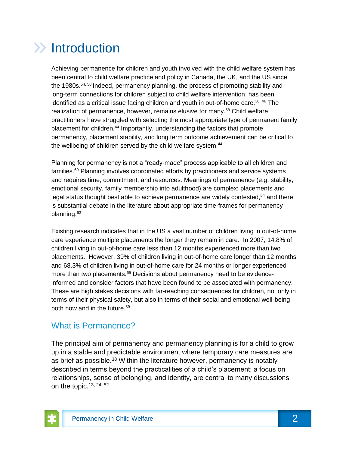# $\gg$  Introduction

Achieving permanence for children and youth involved with the child welfare system has been central to child welfare practice and policy in Canada, the UK, and the US since the 1980s.<sup>54, 58</sup> Indeed, permanency planning, the process of promoting stability and long-term connections for children subject to child welfare intervention, has been identified as a critical issue facing children and youth in out-of-home care.<sup>30, 46</sup> The realization of permanence, however, remains elusive for many.<sup>58</sup> Child welfare practitioners have struggled with selecting the most appropriate type of permanent family placement for children.<sup>44</sup> Importantly, understanding the factors that promote permanency, placement stability, and long term outcome achievement can be critical to the wellbeing of children served by the child welfare system.<sup>44</sup>

Planning for permanency is not a "ready-made" process applicable to all children and families.<sup>69</sup> Planning involves coordinated efforts by practitioners and service systems and requires time, commitment, and resources. Meanings of permanence (e.g. stability, emotional security, family membership into adulthood) are complex; placements and legal status thought best able to achieve permanence are widely contested,<sup>54</sup> and there is substantial debate in the literature about appropriate time-frames for permanency planning.<sup>63</sup>

Existing research indicates that in the US a vast number of children living in out-of-home care experience multiple placements the longer they remain in care. In 2007, 14.8% of children living in out-of-home care less than 12 months experienced more than two placements. However, 39% of children living in out-of-home care longer than 12 months and 68.3% of children living in out-of-home care for 24 months or longer experienced more than two placements.<sup>65</sup> Decisions about permanency need to be evidenceinformed and consider factors that have been found to be associated with permanency. These are high stakes decisions with far-reaching consequences for children, not only in terms of their physical safety, but also in terms of their social and emotional well-being both now and in the future.<sup>39</sup>

### What is Permanence?

The principal aim of permanency and permanency planning is for a child to grow up in a stable and predictable environment where temporary care measures are as brief as possible.<sup>38</sup> Within the literature however, permanency is notably described in terms beyond the practicalities of a child's placement; a focus on relationships, sense of belonging, and identity, are central to many discussions on the topic.13, 24, 52

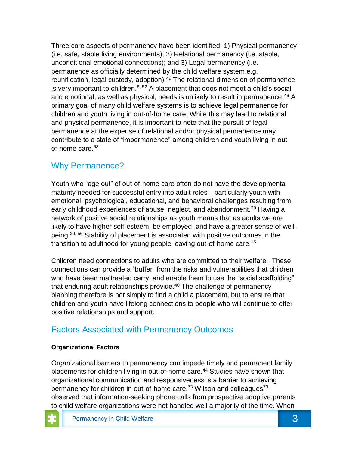Three core aspects of permanency have been identified: 1) Physical permanency (i.e. safe, stable living environments); 2) Relational permanency (i.e. stable, unconditional emotional connections); and 3) Legal permanency (i.e. permanence as officially determined by the child welfare system e.g. reunification, legal custody, adoption).<sup>46</sup> The relational dimension of permanence is very important to children.<sup>6, 52</sup> A placement that does not meet a child's social and emotional, as well as physical, needs is unlikely to result in permanence.<sup>46</sup> A primary goal of many child welfare systems is to achieve legal permanence for children and youth living in out-of-home care. While this may lead to relational and physical permanence, it is important to note that the pursuit of legal permanence at the expense of relational and/or physical permanence may contribute to a state of "impermanence" among children and youth living in outof-home care. 58

### Why Permanence?

Youth who "age out" of out-of-home care often do not have the developmental maturity needed for successful entry into adult roles—particularly youth with emotional, psychological, educational, and behavioral challenges resulting from early childhood experiences of abuse, neglect, and abandonment.<sup>20</sup> Having a network of positive social relationships as youth means that as adults we are likely to have higher self-esteem, be employed, and have a greater sense of wellbeing.<sup>29, 56</sup> Stability of placement is associated with positive outcomes in the transition to adulthood for young people leaving out-of-home care.<sup>15</sup>

Children need connections to adults who are committed to their welfare. These connections can provide a "buffer" from the risks and vulnerabilities that children who have been maltreated carry, and enable them to use the "social scaffolding" that enduring adult relationships provide. $40$  The challenge of permanency planning therefore is not simply to find a child a placement, but to ensure that children and youth have lifelong connections to people who will continue to offer positive relationships and support.

### Factors Associated with Permanency Outcomes

#### **Organizational Factors**

Organizational barriers to permanency can impede timely and permanent family placements for children living in out-of-home care.<sup>44</sup> Studies have shown that organizational communication and responsiveness is a barrier to achieving permanency for children in out-of-home care.<sup>73</sup> Wilson and colleagues<sup>73</sup> observed that information-seeking phone calls from prospective adoptive parents to child welfare organizations were not handled well a majority of the time. When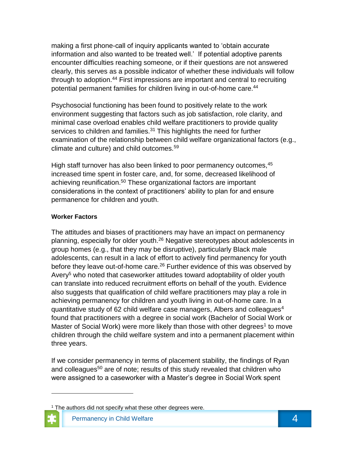making a first phone-call of inquiry applicants wanted to 'obtain accurate information and also wanted to be treated well.' If potential adoptive parents encounter difficulties reaching someone, or if their questions are not answered clearly, this serves as a possible indicator of whether these individuals will follow through to adoption.<sup>44</sup> First impressions are important and central to recruiting potential permanent families for children living in out-of-home care.<sup>44</sup>

Psychosocial functioning has been found to positively relate to the work environment suggesting that factors such as job satisfaction, role clarity, and minimal case overload enables child welfare practitioners to provide quality services to children and families.<sup>31</sup> This highlights the need for further examination of the relationship between child welfare organizational factors (e.g., climate and culture) and child outcomes.<sup>59</sup>

High staff turnover has also been linked to poor permanency outcomes, <sup>45</sup> increased time spent in foster care, and, for some, decreased likelihood of achieving reunification.<sup>50</sup> These organizational factors are important considerations in the context of practitioners' ability to plan for and ensure permanence for children and youth.

#### **Worker Factors**

 $\overline{\phantom{a}}$ 

The attitudes and biases of practitioners may have an impact on permanency planning, especially for older youth.<sup>26</sup> Negative stereotypes about adolescents in group homes (e.g., that they may be disruptive), particularly Black male adolescents, can result in a lack of effort to actively find permanency for youth before they leave out-of-home care.<sup>26</sup> Further evidence of this was observed by Avery<sup>5</sup> who noted that caseworker attitudes toward adoptability of older youth can translate into reduced recruitment efforts on behalf of the youth. Evidence also suggests that qualification of child welfare practitioners may play a role in achieving permanency for children and youth living in out-of-home care. In a quantitative study of 62 child welfare case managers, Albers and colleagues<sup>4</sup> found that practitioners with a degree in social work (Bachelor of Social Work or Master of Social Work) were more likely than those with other degrees<sup>1</sup> to move children through the child welfare system and into a permanent placement within three years.

If we consider permanency in terms of placement stability, the findings of Ryan and colleagues<sup>50</sup> are of note; results of this study revealed that children who were assigned to a caseworker with a Master's degree in Social Work spent

 $1$  The authors did not specify what these other degrees were.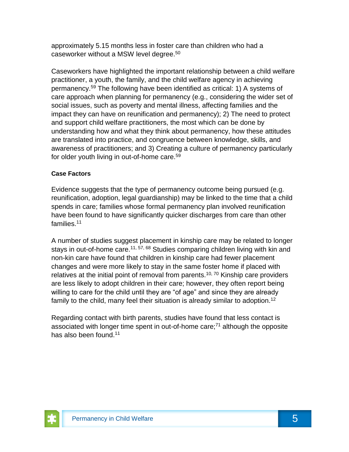approximately 5.15 months less in foster care than children who had a caseworker without a MSW level degree.<sup>50</sup>

Caseworkers have highlighted the important relationship between a child welfare practitioner, a youth, the family, and the child welfare agency in achieving permanency.<sup>59</sup> The following have been identified as critical: 1) A systems of care approach when planning for permanency (e.g., considering the wider set of social issues, such as poverty and mental illness, affecting families and the impact they can have on reunification and permanency); 2) The need to protect and support child welfare practitioners, the most which can be done by understanding how and what they think about permanency, how these attitudes are translated into practice, and congruence between knowledge, skills, and awareness of practitioners; and 3) Creating a culture of permanency particularly for older youth living in out-of-home care.<sup>59</sup>

#### **Case Factors**

Evidence suggests that the type of permanency outcome being pursued (e.g. reunification, adoption, legal guardianship) may be linked to the time that a child spends in care; families whose formal permanency plan involved reunification have been found to have significantly quicker discharges from care than other families.<sup>11</sup>

A number of studies suggest placement in kinship care may be related to longer stays in out-of-home care.<sup>11, 57, 68</sup> Studies comparing children living with kin and non-kin care have found that children in kinship care had fewer placement changes and were more likely to stay in the same foster home if placed with relatives at the initial point of removal from parents.<sup>10, 70</sup> Kinship care providers are less likely to adopt children in their care; however, they often report being willing to care for the child until they are "of age" and since they are already family to the child, many feel their situation is already similar to adoption.<sup>12</sup>

Regarding contact with birth parents, studies have found that less contact is associated with longer time spent in out-of-home care; $<sup>71</sup>$  although the opposite</sup> has also been found.<sup>11</sup>

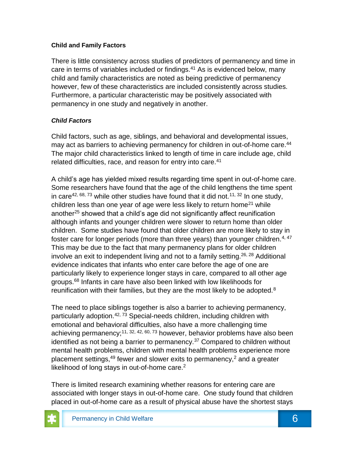#### **Child and Family Factors**

There is little consistency across studies of predictors of permanency and time in care in terms of variables included or findings.<sup>41</sup> As is evidenced below, many child and family characteristics are noted as being predictive of permanency however, few of these characteristics are included consistently across studies. Furthermore, a particular characteristic may be positively associated with permanency in one study and negatively in another.

#### *Child Factors*

Child factors, such as age, siblings, and behavioral and developmental issues, may act as barriers to achieving permanency for children in out-of-home care.<sup>44</sup> The major child characteristics linked to length of time in care include age, child related difficulties, race, and reason for entry into care.<sup>41</sup>

A child's age has yielded mixed results regarding time spent in out-of-home care. Some researchers have found that the age of the child lengthens the time spent in care<sup>42, 68, 73</sup> while other studies have found that it did not.<sup>11, 32</sup> In one study, children less than one year of age were less likely to return home<sup>21</sup> while another<sup>25</sup> showed that a child's age did not significantly affect reunification although infants and younger children were slower to return home than older children. Some studies have found that older children are more likely to stay in foster care for longer periods (more than three years) than younger children.<sup>4, 47</sup> This may be due to the fact that many permanency plans for older children involve an exit to independent living and not to a family setting.26, 28 Additional evidence indicates that infants who enter care before the age of one are particularly likely to experience longer stays in care, compared to all other age groups.<sup>68</sup> Infants in care have also been linked with low likelihoods for reunification with their families, but they are the most likely to be adopted. $8$ 

The need to place siblings together is also a barrier to achieving permanency, particularly adoption.<sup>42, 73</sup> Special-needs children, including children with emotional and behavioral difficulties, also have a more challenging time achieving permanency;<sup>11, 32, 42, 60, 73</sup> however, behavior problems have also been identified as not being a barrier to permanency.<sup>37</sup> Compared to children without mental health problems, children with mental health problems experience more placement settings,  $49$  fewer and slower exits to permanency,  $2$  and a greater likelihood of long stays in out-of-home care. $2$ 

There is limited research examining whether reasons for entering care are associated with longer stays in out-of-home care. One study found that children placed in out-of-home care as a result of physical abuse have the shortest stays

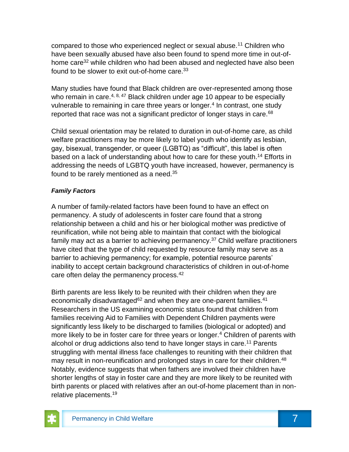compared to those who experienced neglect or sexual abuse.<sup>11</sup> Children who have been sexually abused have also been found to spend more time in out-ofhome care<sup>32</sup> while children who had been abused and neglected have also been found to be slower to exit out-of-home care.  $33$ 

Many studies have found that Black children are over-represented among those who remain in care.<sup>4, 8, 47</sup> Black children under age 10 appear to be especially vulnerable to remaining in care three years or longer.<sup>4</sup> In contrast, one study reported that race was not a significant predictor of longer stays in care.<sup>68</sup>

Child sexual orientation may be related to duration in out-of-home care, as child welfare practitioners may be more likely to label youth who identify as lesbian, gay, bisexual, transgender, or queer (LGBTQ) as "difficult", this label is often based on a lack of understanding about how to care for these youth.<sup>14</sup> Efforts in addressing the needs of LGBTQ youth have increased, however, permanency is found to be rarely mentioned as a need.<sup>35</sup>

#### *Family Factors*

A number of family-related factors have been found to have an effect on permanency. A study of adolescents in foster care found that a strong relationship between a child and his or her biological mother was predictive of reunification, while not being able to maintain that contact with the biological family may act as a barrier to achieving permanency.<sup>37</sup> Child welfare practitioners have cited that the type of child requested by resource family may serve as a barrier to achieving permanency; for example, potential resource parents' inability to accept certain background characteristics of children in out-of-home care often delay the permanency process.<sup>42</sup>

Birth parents are less likely to be reunited with their children when they are economically disadvantaged $62$  and when they are one-parent families.<sup>41</sup> Researchers in the US examining economic status found that children from families receiving Aid to Families with Dependent Children payments were significantly less likely to be discharged to families (biological or adopted) and more likely to be in foster care for three years or longer.<sup>4</sup> Children of parents with alcohol or drug addictions also tend to have longer stays in care.<sup>11</sup> Parents struggling with mental illness face challenges to reuniting with their children that may result in non-reunification and prolonged stays in care for their children.<sup>48</sup> Notably, evidence suggests that when fathers are involved their children have shorter lengths of stay in foster care and they are more likely to be reunited with birth parents or placed with relatives after an out-of-home placement than in nonrelative placements.19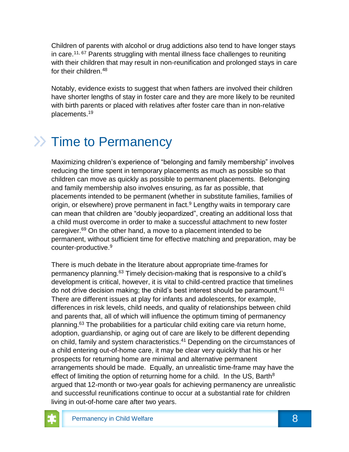Children of parents with alcohol or drug addictions also tend to have longer stays in care.<sup>11, 67</sup> Parents struggling with mental illness face challenges to reuniting with their children that may result in non-reunification and prolonged stays in care for their children.<sup>48</sup>

Notably, evidence exists to suggest that when fathers are involved their children have shorter lengths of stay in foster care and they are more likely to be reunited with birth parents or placed with relatives after foster care than in non-relative placements.<sup>19</sup>

# $\gg$  Time to Permanency

Maximizing children's experience of "belonging and family membership" involves reducing the time spent in temporary placements as much as possible so that children can move as quickly as possible to permanent placements. Belonging and family membership also involves ensuring, as far as possible, that placements intended to be permanent (whether in substitute families, families of origin, or elsewhere) prove permanent in fact.<sup>9</sup> Lengthy waits in temporary care can mean that children are "doubly jeopardized", creating an additional loss that a child must overcome in order to make a successful attachment to new foster caregiver.<sup>69</sup> On the other hand, a move to a placement intended to be permanent, without sufficient time for effective matching and preparation, may be counter-productive.<sup>9</sup>

There is much debate in the literature about appropriate time-frames for permanency planning.<sup>63</sup> Timely decision-making that is responsive to a child's development is critical, however, it is vital to child-centred practice that timelines do not drive decision making; the child's best interest should be paramount.  $61$ There are different issues at play for infants and adolescents, for example, differences in risk levels, child needs, and quality of relationships between child and parents that, all of which will influence the optimum timing of permanency planning.<sup>63</sup> The probabilities for a particular child exiting care via return home, adoption, guardianship, or aging out of care are likely to be different depending on child, family and system characteristics.<sup>41</sup> Depending on the circumstances of a child entering out-of-home care, it may be clear very quickly that his or her prospects for returning home are minimal and alternative permanent arrangements should be made. Equally, an unrealistic time-frame may have the effect of limiting the option of returning home for a child. In the US, Barth<sup>8</sup> argued that 12-month or two-year goals for achieving permanency are unrealistic and successful reunifications continue to occur at a substantial rate for children living in out-of-home care after two years.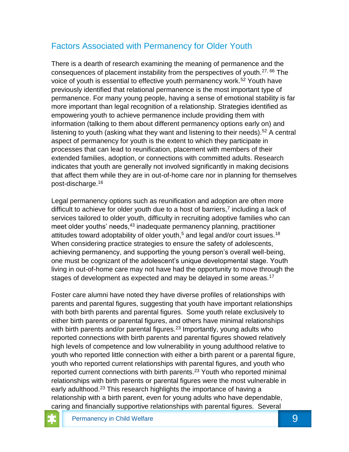### Factors Associated with Permanency for Older Youth

There is a dearth of research examining the meaning of permanence and the consequences of placement instability from the perspectives of youth.<sup>27, 66</sup> The voice of youth is essential to effective youth permanency work.<sup>52</sup> Youth have previously identified that relational permanence is the most important type of permanence. For many young people, having a sense of emotional stability is far more important than legal recognition of a relationship. Strategies identified as empowering youth to achieve permanence include providing them with information (talking to them about different permanency options early on) and listening to youth (asking what they want and listening to their needs).<sup>52</sup> A central aspect of permanency for youth is the extent to which they participate in processes that can lead to reunification, placement with members of their extended families, adoption, or connections with committed adults. Research indicates that youth are generally not involved significantly in making decisions that affect them while they are in out-of-home care nor in planning for themselves post-discharge.<sup>16</sup>

Legal permanency options such as reunification and adoption are often more difficult to achieve for older youth due to a host of barriers,<sup>7</sup> including a lack of services tailored to older youth, difficulty in recruiting adoptive families who can meet older youths' needs, <sup>43</sup> inadequate permanency planning, practitioner attitudes toward adoptability of older youth,<sup>5</sup> and legal and/or court issues.<sup>18</sup> When considering practice strategies to ensure the safety of adolescents, achieving permanency, and supporting the young person's overall well-being, one must be cognizant of the adolescent's unique developmental stage. Youth living in out-of-home care may not have had the opportunity to move through the stages of development as expected and may be delayed in some areas.<sup>17</sup>

Foster care alumni have noted they have diverse profiles of relationships with parents and parental figures, suggesting that youth have important relationships with both birth parents and parental figures. Some youth relate exclusively to either birth parents or parental figures, and others have minimal relationships with birth parents and/or parental figures.<sup>23</sup> Importantly, young adults who reported connections with birth parents and parental figures showed relatively high levels of competence and low vulnerability in young adulthood relative to youth who reported little connection with either a birth parent or a parental figure, youth who reported current relationships with parental figures, and youth who reported current connections with birth parents.<sup>23</sup> Youth who reported minimal relationships with birth parents or parental figures were the most vulnerable in early adulthood.<sup>23</sup> This research highlights the importance of having a relationship with a birth parent, even for young adults who have dependable, caring and financially supportive relationships with parental figures. Several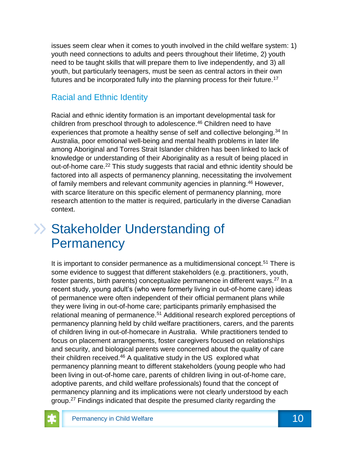issues seem clear when it comes to youth involved in the child welfare system: 1) youth need connections to adults and peers throughout their lifetime, 2) youth need to be taught skills that will prepare them to live independently, and 3) all youth, but particularly teenagers, must be seen as central actors in their own futures and be incorporated fully into the planning process for their future.<sup>17</sup>

### Racial and Ethnic Identity

Racial and ethnic identity formation is an important developmental task for children from preschool through to adolescence.<sup>46</sup> Children need to have experiences that promote a healthy sense of self and collective belonging.<sup>34</sup> In Australia, poor emotional well-being and mental health problems in later life among Aboriginal and Torres Strait Islander children has been linked to lack of knowledge or understanding of their Aboriginality as a result of being placed in out-of-home care.<sup>22</sup> This study suggests that racial and ethnic identity should be factored into all aspects of permanency planning, necessitating the involvement of family members and relevant community agencies in planning.<sup>46</sup> However, with scarce literature on this specific element of permanency planning, more research attention to the matter is required, particularly in the diverse Canadian context.

### >> Stakeholder Understanding of **Permanency**

It is important to consider permanence as a multidimensional concept.<sup>51</sup> There is some evidence to suggest that different stakeholders (e.g. practitioners, youth, foster parents, birth parents) conceptualize permanence in different ways.<sup>27</sup> In a recent study, young adult's (who were formerly living in out-of-home care) ideas of permanence were often independent of their official permanent plans while they were living in out-of-home care; participants primarily emphasised the relational meaning of permanence.<sup>51</sup> Additional research explored perceptions of permanency planning held by child welfare practitioners, carers, and the parents of children living in out-of-homecare in Australia. While practitioners tended to focus on placement arrangements, foster caregivers focused on relationships and security, and biological parents were concerned about the quality of care their children received. $46$  A qualitative study in the US explored what permanency planning meant to different stakeholders (young people who had been living in out-of-home care, parents of children living in out-of-home care, adoptive parents, and child welfare professionals) found that the concept of permanency planning and its implications were not clearly understood by each group.<sup>27</sup> Findings indicated that despite the presumed clarity regarding the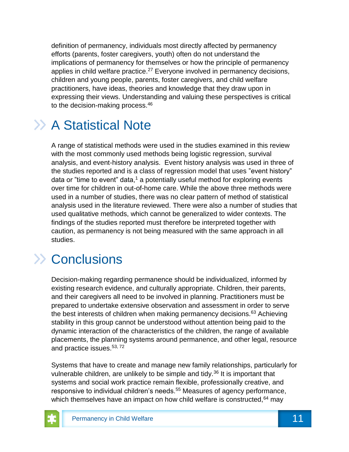definition of permanency, individuals most directly affected by permanency efforts (parents, foster caregivers, youth) often do not understand the implications of permanency for themselves or how the principle of permanency applies in child welfare practice.<sup>27</sup> Everyone involved in permanency decisions, children and young people, parents, foster caregivers, and child welfare practitioners, have ideas, theories and knowledge that they draw upon in expressing their views. Understanding and valuing these perspectives is critical to the decision-making process.<sup>46</sup>

# >> A Statistical Note

A range of statistical methods were used in the studies examined in this review with the most commonly used methods being logistic regression, survival analysis, and event-history analysis. Event history analysis was used in three of the studies reported and is a class of regression model that uses "event history" data or "time to event" data,<sup>1</sup> a potentially useful method for exploring events over time for children in out-of-home care. While the above three methods were used in a number of studies, there was no clear pattern of method of statistical analysis used in the literature reviewed. There were also a number of studies that used qualitative methods, which cannot be generalized to wider contexts. The findings of the studies reported must therefore be interpreted together with caution, as permanency is not being measured with the same approach in all studies.

## **EXA** Conclusions

Decision-making regarding permanence should be individualized, informed by existing research evidence, and culturally appropriate. Children, their parents, and their caregivers all need to be involved in planning. Practitioners must be prepared to undertake extensive observation and assessment in order to serve the best interests of children when making permanency decisions.<sup>63</sup> Achieving stability in this group cannot be understood without attention being paid to the dynamic interaction of the characteristics of the children, the range of available placements, the planning systems around permanence, and other legal, resource and practice issues.<sup>53, 72</sup>

Systems that have to create and manage new family relationships, particularly for vulnerable children, are unlikely to be simple and tidy.<sup>36</sup> It is important that systems and social work practice remain flexible, professionally creative, and responsive to individual children's needs.<sup>55</sup> Measures of agency performance, which themselves have an impact on how child welfare is constructed, 64 may

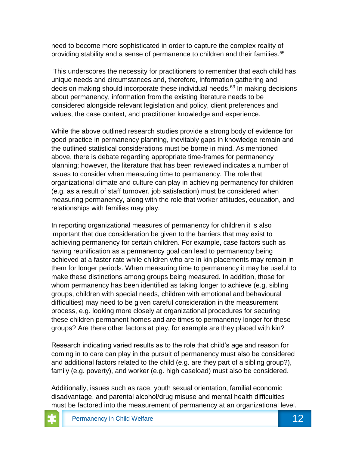need to become more sophisticated in order to capture the complex reality of providing stability and a sense of permanence to children and their families.<sup>55</sup>

This underscores the necessity for practitioners to remember that each child has unique needs and circumstances and, therefore, information gathering and decision making should incorporate these individual needs.<sup>63</sup> In making decisions about permanency, information from the existing literature needs to be considered alongside relevant legislation and policy, client preferences and values, the case context, and practitioner knowledge and experience.

While the above outlined research studies provide a strong body of evidence for good practice in permanency planning, inevitably gaps in knowledge remain and the outlined statistical considerations must be borne in mind. As mentioned above, there is debate regarding appropriate time-frames for permanency planning; however, the literature that has been reviewed indicates a number of issues to consider when measuring time to permanency. The role that organizational climate and culture can play in achieving permanency for children (e.g. as a result of staff turnover, job satisfaction) must be considered when measuring permanency, along with the role that worker attitudes, education, and relationships with families may play.

In reporting organizational measures of permanency for children it is also important that due consideration be given to the barriers that may exist to achieving permanency for certain children. For example, case factors such as having reunification as a permanency goal can lead to permanency being achieved at a faster rate while children who are in kin placements may remain in them for longer periods. When measuring time to permanency it may be useful to make these distinctions among groups being measured. In addition, those for whom permanency has been identified as taking longer to achieve (e.g. sibling groups, children with special needs, children with emotional and behavioural difficulties) may need to be given careful consideration in the measurement process, e.g. looking more closely at organizational procedures for securing these children permanent homes and are times to permanency longer for these groups? Are there other factors at play, for example are they placed with kin?

Research indicating varied results as to the role that child's age and reason for coming in to care can play in the pursuit of permanency must also be considered and additional factors related to the child (e.g. are they part of a sibling group?), family (e.g. poverty), and worker (e.g. high caseload) must also be considered.

Additionally, issues such as race, youth sexual orientation, familial economic disadvantage, and parental alcohol/drug misuse and mental health difficulties must be factored into the measurement of permanency at an organizational level.

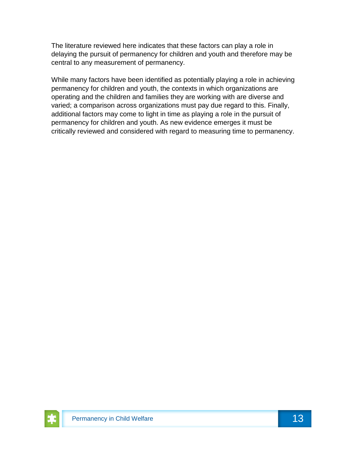The literature reviewed here indicates that these factors can play a role in delaying the pursuit of permanency for children and youth and therefore may be central to any measurement of permanency.

While many factors have been identified as potentially playing a role in achieving permanency for children and youth, the contexts in which organizations are operating and the children and families they are working with are diverse and varied; a comparison across organizations must pay due regard to this. Finally, additional factors may come to light in time as playing a role in the pursuit of permanency for children and youth. As new evidence emerges it must be critically reviewed and considered with regard to measuring time to permanency.

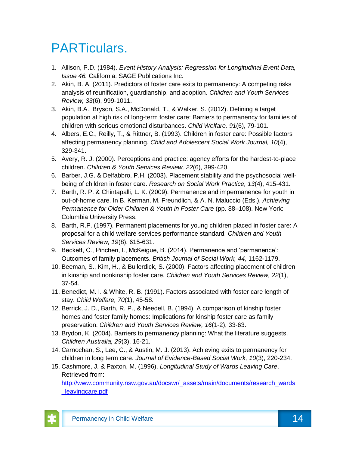# PARTiculars.

- 1. Allison, P.D. (1984). *Event History Analysis: Regression for Longitudinal Event Data, Issue 46.* California: SAGE Publications Inc.
- 2. Akin, B. A. (2011). Predictors of foster care exits to permanency: A competing risks analysis of reunification, guardianship, and adoption. *Children and Youth Services Review, 33*(6), 999-1011.
- 3. Akin, B.A., Bryson, S.A., McDonald, T., & Walker, S. (2012). Defining a target population at high risk of long-term foster care: Barriers to permanency for families of children with serious emotional disturbances. *Child Welfare, 91*(6), 79-101.
- 4. Albers, E.C., Reilly, T., & Rittner, B. (1993). Children in foster care: Possible factors affecting permanency planning. *Child and Adolescent Social Work Journal, 10*(4), 329-341.
- 5. Avery, R. J. (2000). Perceptions and practice: agency efforts for the hardest-to-place children. *Children & Youth Services Review, 22*(6), 399-420.
- 6. Barber, J.G. & Delfabbro, P.H. (2003). Placement stability and the psychosocial wellbeing of children in foster care. *Research on Social Work Practice, 13*(4), 415-431.
- 7. Barth, R. P. & Chintapalli, L. K. (2009). Permanence and impermanence for youth in out-of-home care. In B. Kerman, M. Freundlich, & A. N. Maluccio (Eds.), *Achieving Permanence for Older Children & Youth in Foster Care (pp. 88–108). New York:* Columbia University Press.
- 8. Barth, R.P. (1997). Permanent placements for young children placed in foster care: A proposal for a child welfare services performance standard. *Children and Youth Services Review, 19*(8), 615-631.
- 9. Beckett, C., Pinchen, I., McKeigue, B. (2014). Permanence and 'permanence': Outcomes of family placements. *British Journal of Social Work, 44*, 1162-1179.
- 10. Beeman, S., Kim, H., & Bullerdick, S. (2000). Factors affecting placement of children in kinship and nonkinship foster care. *Children and Youth Services Review, 22*(1), 37-54.
- 11. Benedict, M. I. & White, R. B. (1991). Factors associated with foster care length of stay. *Child Welfare, 70*(1), 45-58.
- 12. Berrick, J. D., Barth, R. P., & Needell, B. (1994). A comparison of kinship foster homes and foster family homes: Implications for kinship foster care as family preservation. *Children and Youth Services Review, 16*(1-2), 33-63.
- 13. Brydon, K. (2004). Barriers to permanency planning: What the literature suggests. *Children Australia, 29*(3), 16-21.
- 14. Carnochan, S., Lee, C., & Austin, M. J. (2013). Achieving exits to permanency for children in long term care. *Journal of Evidence-Based Social Work, 10*(3), 220-234.
- 15. Cashmore, J. & Paxton, M. (1996). *Longitudinal Study of Wards Leaving Care*. Retrieved from: [http://www.community.nsw.gov.au/docswr/\\_assets/main/documents/research\\_wards](http://www.community.nsw.gov.au/docswr/_assets/main/documents/research_wards_leavingcare.pdf) [\\_leavingcare.pdf](http://www.community.nsw.gov.au/docswr/_assets/main/documents/research_wards_leavingcare.pdf)

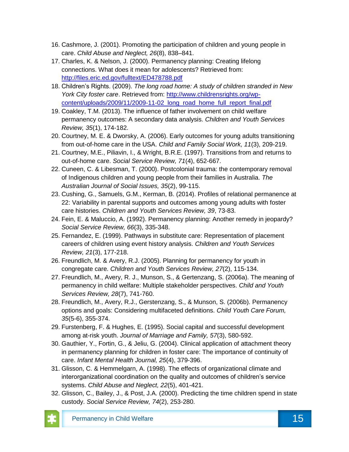- 16. Cashmore, J. (2001). Promoting the participation of children and young people in care. *Child Abuse and Neglect, 26*(8), 838–841.
- 17. Charles, K. & Nelson, J. (2000). Permanency planning: Creating lifelong connections. What does it mean for adolescents? Retrieved from: <http://files.eric.ed.gov/fulltext/ED478788.pdf>
- 18. Children's Rights. (2009). *The long road home: A study of children stranded in New York City foster care*. Retrieved from: [http://www.childrensrights.org/wp](http://www.childrensrights.org/wp-content/uploads/2009/11/2009-11-02_long_road_home_full_report_final.pdf)[content/uploads/2009/11/2009-11-02\\_long\\_road\\_home\\_full\\_report\\_final.pdf](http://www.childrensrights.org/wp-content/uploads/2009/11/2009-11-02_long_road_home_full_report_final.pdf)
- 19. Coakley, T.M. (2013). The influence of father involvement on child welfare permanency outcomes: A secondary data analysis. *Children and Youth Services Review, 35*(1), 174-182.
- 20. Courtney, M. E. & Dworsky, A. (2006). Early outcomes for young adults transitioning from out-of-home care in the USA. *Child and Family Social Work, 11*(3), 209-219.
- 21. Courtney, M.E., Piliavin, I., & Wright, B.R.E. (1997). Transitions from and returns to out-of-home care. *Social Service Review, 71*(4), 652-667.
- 22. Cuneen, C. & Libesman, T. (2000). Postcolonial trauma: the contemporary removal of Indigenous children and young people from their families in Australia. *The Australian Journal of Social Issues, 35*(2), 99-115.
- 23. Cushing, G., Samuels, G.M., Kerman, B. (2014). Profiles of relational permanence at 22: Variability in parental supports and outcomes among young adults with foster care histories. *Children and Youth Services Review, 39*, 73-83.
- 24. Fein, E. & Maluccio, A. (1992). Permanency planning: Another remedy in jeopardy? *Social Service Review, 66*(3), 335-348.
- 25. Fernandez, E. (1999). Pathways in substitute care: Representation of placement careers of children using event history analysis. *Children and Youth Services Review, 21*(3), 177-218.
- 26. Freundlich, M. & Avery, R.J. (2005). Planning for permanency for youth in congregate care. *Children and Youth Services Review, 27*(2), 115-134.
- 27. Freundlich, M., Avery, R. J., Munson, S., & Gertenzang, S. (2006a). The meaning of permanency in child welfare: Multiple stakeholder perspectives. *Child and Youth Services Review, 28*(7), 741-760.
- 28. Freundlich, M., Avery, R.J., Gerstenzang, S., & Munson, S. (2006b). Permanency options and goals: Considering multifaceted definitions. *Child Youth Care Forum, 35*(5-6), 355-374.
- 29. Furstenberg, F. & Hughes, E. (1995). Social capital and successful development among at-risk youth. *Journal of Marriage and Family, 57*(3), 580-592.
- 30. Gauthier, Y., Fortin, G., & Jeliu, G. (2004). Clinical application of attachment theory in permanency planning for children in foster care: The importance of continuity of care. *Infant Mental Health Journal, 25*(4), 379-396.
- 31. Glisson, C. & Hemmelgarn, A. (1998). The effects of organizational climate and interorganizational coordination on the quality and outcomes of children's service systems. *Child Abuse and Neglect, 22*(5), 401-421.
- 32. Glisson, C., Bailey, J., & Post, J.A. (2000). Predicting the time children spend in state custody. *Social Service Review, 74*(2), 253-280.

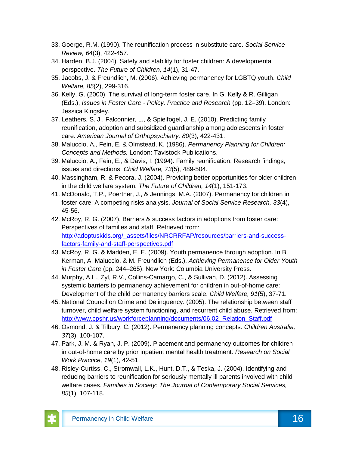- 33. Goerge, R.M. (1990). The reunification process in substitute care. *Social Service Review, 64*(3), 422-457.
- 34. Harden, B.J. (2004). Safety and stability for foster children: A developmental perspective. *The Future of Children, 14*(1), 31-47.
- 35. Jacobs, J. & Freundlich, M. (2006). Achieving permanency for LGBTQ youth. *Child Welfare, 85*(2), 299-316.
- 36. Kelly, G. (2000). The survival of long-term foster care. In G. Kelly & R. Gilligan (Eds.), *Issues in Foster Care - Policy, Practice and Research* (pp. 12–39). London: Jessica Kingsley.
- 37. Leathers, S. J., Falconnier, L., & Spielfogel, J. E. (2010). Predicting family reunification, adoption and subsidized guardianship among adolescents in foster care. *American Journal of Orthopsychiatry, 80*(3), 422-431.
- 38. Maluccio, A., Fein, E. & Olmstead, K. (1986). *Permanency Planning for Children: Concepts and Methods.* London: Tavistock Publications.
- 39. Maluccio, A., Fein, E., & Davis, I. (1994). Family reunification: Research findings, issues and directions. *Child Welfare, 73*(5), 489-504.
- 40. Massingham, R. & Pecora, J. (2004). Providing better opportunities for older children in the child welfare system. *The Future of Children, 14*(1), 151-173.
- 41. McDonald, T.P., Poertner, J., & Jennings, M.A. (2007). Permanency for children in foster care: A competing risks analysis. *Journal of Social Service Research, 33*(4), 45-56.
- 42. McRoy, R. G. (2007). Barriers & success factors in adoptions from foster care: Perspectives of families and staff. Retrieved from: [http://adoptuskids.org/\\_assets/files/NRCRRFAP/resources/barriers-and-success](http://adoptuskids.org/_assets/files/NRCRRFAP/resources/barriers-and-success-factors-family-and-staff-perspectives.pdf)[factors-family-and-staff-perspectives.pdf](http://adoptuskids.org/_assets/files/NRCRRFAP/resources/barriers-and-success-factors-family-and-staff-perspectives.pdf)
- 43. McRoy, R. G. & Madden, E. E. (2009). Youth permanence through adoption. In B. Kerman, A. Maluccio, & M. Freundlich (Eds.), *Achieving Permanence for Older Youth in Foster Care* (pp. 244–265). New York: Columbia University Press.
- 44. Murphy, A.L., Zyl, R.V., Collins-Camargo, C., & Sullivan, D. (2012). Assessing systemic barriers to permanency achievement for children in out-of-home care: Development of the child permanency barriers scale. *Child Welfare, 91*(5), 37-71.
- 45. National Council on Crime and Delinquency. (2005). The relationship between staff turnover, child welfare system functioning, and recurrent child abuse. Retrieved from: [http://www.cpshr.us/workforceplanning/documents/06.02\\_Relation\\_Staff.pdf](http://www.cpshr.us/workforceplanning/documents/06.02_Relation_Staff.pdf)
- 46. Osmond, J. & Tilbury, C. (2012). Permanency planning concepts. *Children Australia, 37*(3), 100-107.
- 47. Park, J. M. & Ryan, J. P. (2009). Placement and permanency outcomes for children in out-of-home care by prior inpatient mental health treatment. *Research on Social Work Practice, 19*(1), 42-51.
- 48. Risley-Curtiss, C., Stromwall, L.K., Hunt, D.T., & Teska, J. (2004). Identifying and reducing barriers to reunification for seriously mentally ill parents involved with child welfare cases. *Families in Society: The Journal of Contemporary Social Services, 85*(1), 107-118.

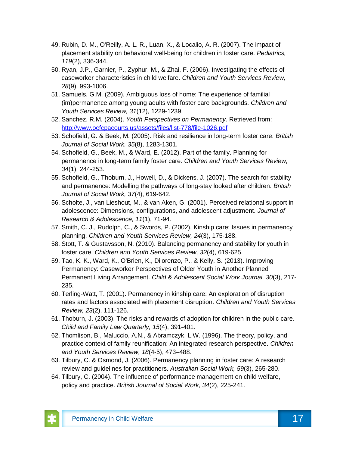- 49. Rubin, D. M., O'Reilly, A. L. R., Luan, X., & Localio, A. R. (2007). The impact of placement stability on behavioral well-being for children in foster care. *Pediatrics, 119*(2), 336-344.
- 50. Ryan, J.P., Garnier, P., Zyphur, M., & Zhai, F. (2006). Investigating the effects of caseworker characteristics in child welfare. *Children and Youth Services Review, 28*(9), 993-1006.
- 51. Samuels, G.M. (2009). Ambiguous loss of home: The experience of familial (im)permanence among young adults with foster care backgrounds. *Children and Youth Services Review, 31*(12), 1229-1239.
- 52. Sanchez, R.M. (2004). *Youth Perspectives on Permanency*. Retrieved from: <http://www.ocfcpacourts.us/assets/files/list-778/file-1026.pdf>
- 53. Schofield, G. & Beek, M. (2005). Risk and resilience in long-term foster care. *British Journal of Social Work, 35*(8), 1283-1301.
- 54. Schofield, G., Beek, M., & Ward, E. (2012). Part of the family. Planning for permanence in long-term family foster care. *Children and Youth Services Review, 34*(1), 244-253.
- 55. Schofield, G., Thoburn, J., Howell, D., & Dickens, J. (2007). The search for stability and permanence: Modelling the pathways of long-stay looked after children. *British Journal of Social Work, 37*(4), 619-642.
- 56. Scholte, J., van Lieshout, M., & van Aken, G. (2001). Perceived relational support in adolescence: Dimensions, configurations, and adolescent adjustment. *Journal of Research & Adolescence, 11*(1), 71-94.
- 57. Smith, C. J., Rudolph, C., & Swords, P. (2002). Kinship care: Issues in permanency planning. *Children and Youth Services Review, 24*(3), 175-188.
- 58. Stott, T. & Gustavsson, N. (2010). Balancing permanency and stability for youth in foster care. *Children and Youth Services Review, 32*(4), 619-625.
- 59. Tao, K. K., Ward, K., O'Brien, K., Dilorenzo, P., & Kelly, S. (2013). Improving Permanency: Caseworker Perspectives of Older Youth in Another Planned Permanent Living Arrangement. *Child & Adolescent Social Work Journal, 30*(3), 217- 235.
- 60. Terling-Watt, T. (2001). Permanency in kinship care: An exploration of disruption rates and factors associated with placement disruption. *Children and Youth Services Review, 23*(2), 111-126.
- 61. Thoburn, J. (2003). The risks and rewards of adoption for children in the public care. *Child and Family Law Quarterly, 15*(4), 391-401.
- 62. Thomlison, B., Maluccio, A.N., & Abramczyk, L.W. (1996). The theory, policy, and practice context of family reunification: An integrated research perspective. *Children and Youth Services Review, 18*(4-5), 473–488.
- 63. Tilbury, C. & Osmond, J. (2006). Permanency planning in foster care: A research review and guidelines for practitioners. *Australian Social Work, 59*(3), 265-280.
- 64. Tilbury, C. (2004). The influence of performance management on child welfare, policy and practice. *British Journal of Social Work, 34*(2), 225-241.